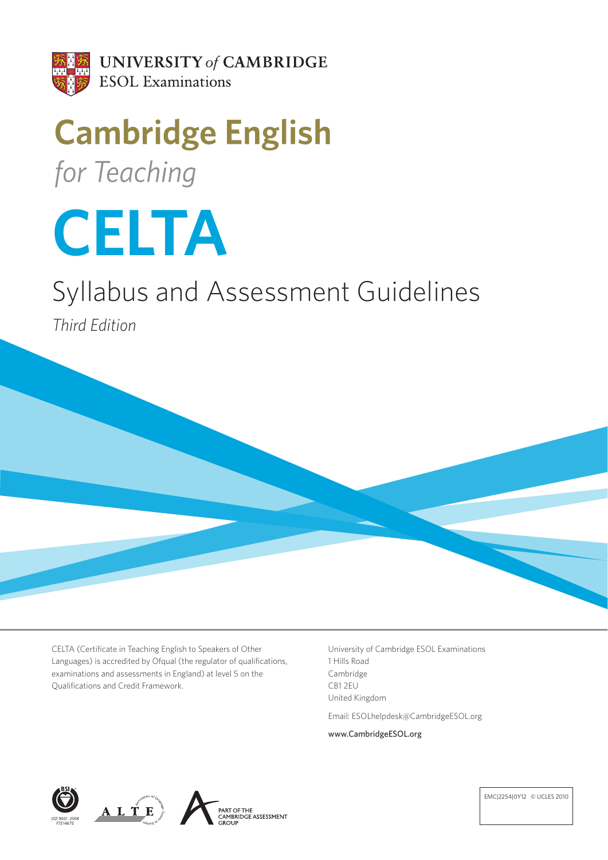

# **Cambridge English** for Teaching



# Syllabus and Assessment Guidelines

*Third Edition*

 CELTA (Certificate in Teaching English to Speakers of Other Languages) is accredited by Ofqual (the regulator of qualifications, examinations and assessments in England) at level 5 on the Qualifications and Credit Framework.

University of Cambridge ESOL Examinations 1 Hills Road Cambridge CB1 2EU United Kingdom

Email: ESOLhelpdesk@CambridgeESOL.org

www.CambridgeESOL.org







EMC|2254|0Y12 © UCLES 2010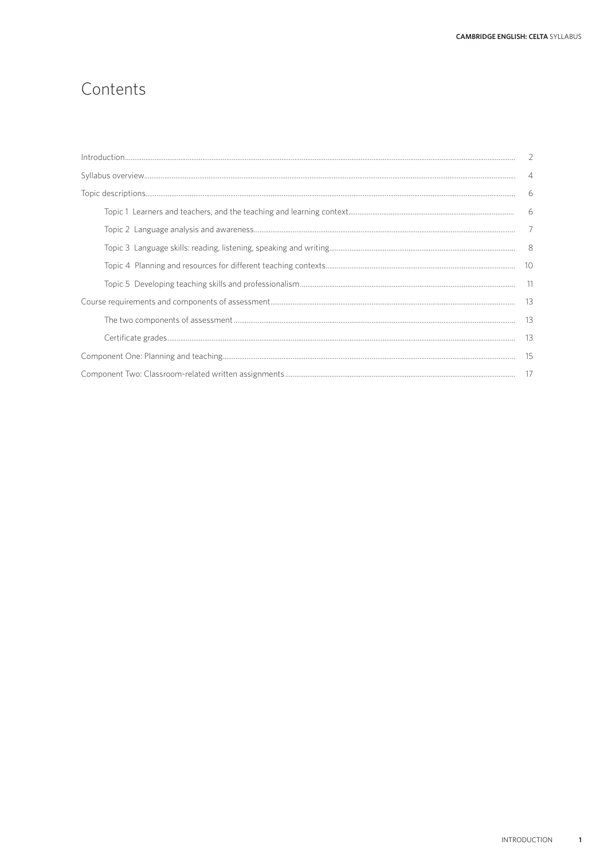## Contents

| $\overline{4}$ |
|----------------|
| -6             |
|                |
|                |
|                |
|                |
|                |
|                |
|                |
|                |
|                |
|                |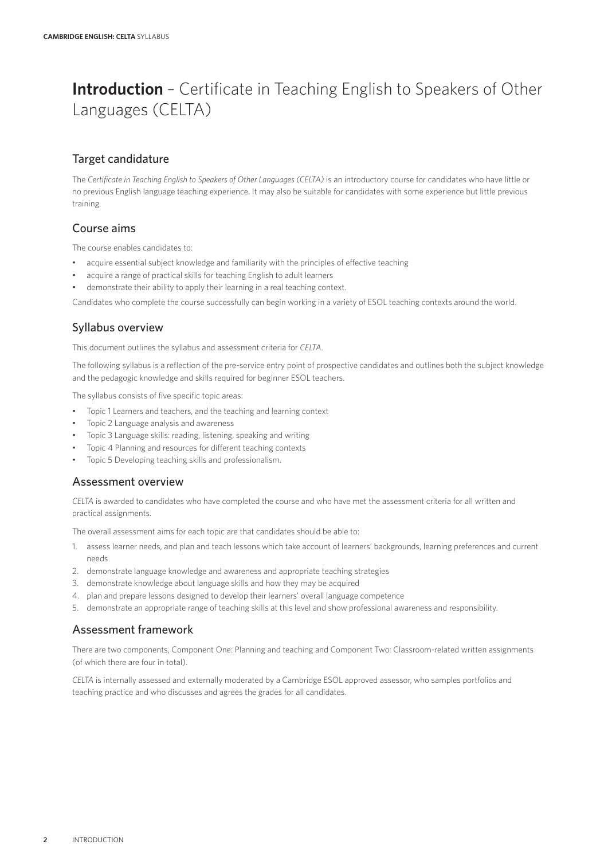## **Introduction** – Certificate in Teaching English to Speakers of Other Languages (CELTA)

## Target candidature

The *Certificate in Teaching English to Speakers of Other Languages (CELTA)* is an introductory course for candidates who have little or no previous English language teaching experience. It may also be suitable for candidates with some experience but little previous training.

### Course aims

The course enables candidates to:

- acquire essential subject knowledge and familiarity with the principles of effective teaching
- acquire a range of practical skills for teaching English to adult learners
- demonstrate their ability to apply their learning in a real teaching context.

Candidates who complete the course successfully can begin working in a variety of ESOL teaching contexts around the world.

### Syllabus overview

This document outlines the syllabus and assessment criteria for *CELTA*.

The following syllabus is a reflection of the pre-service entry point of prospective candidates and outlines both the subject knowledge and the pedagogic knowledge and skills required for beginner ESOL teachers.

The syllabus consists of five specific topic areas:

- Topic 1 Learners and teachers, and the teaching and learning context
- Topic 2 Language analysis and awareness
- Topic 3 Language skills: reading, listening, speaking and writing
- Topic 4 Planning and resources for different teaching contexts
- Topic 5 Developing teaching skills and professionalism.

### Assessment overview

*CELTA* is awarded to candidates who have completed the course and who have met the assessment criteria for all written and practical assignments.

The overall assessment aims for each topic are that candidates should be able to:

- 1. assess learner needs, and plan and teach lessons which take account of learners' backgrounds, learning preferences and current needs
- 2. demonstrate language knowledge and awareness and appropriate teaching strategies
- 3. demonstrate knowledge about language skills and how they may be acquired
- 4. plan and prepare lessons designed to develop their learners' overall language competence
- 5. demonstrate an appropriate range of teaching skills at this level and show professional awareness and responsibility.

### Assessment framework

There are two components, Component One: Planning and teaching and Component Two: Classroom-related written assignments (of which there are four in total).

*CELTA* is internally assessed and externally moderated by a Cambridge ESOL approved assessor, who samples portfolios and teaching practice and who discusses and agrees the grades for all candidates.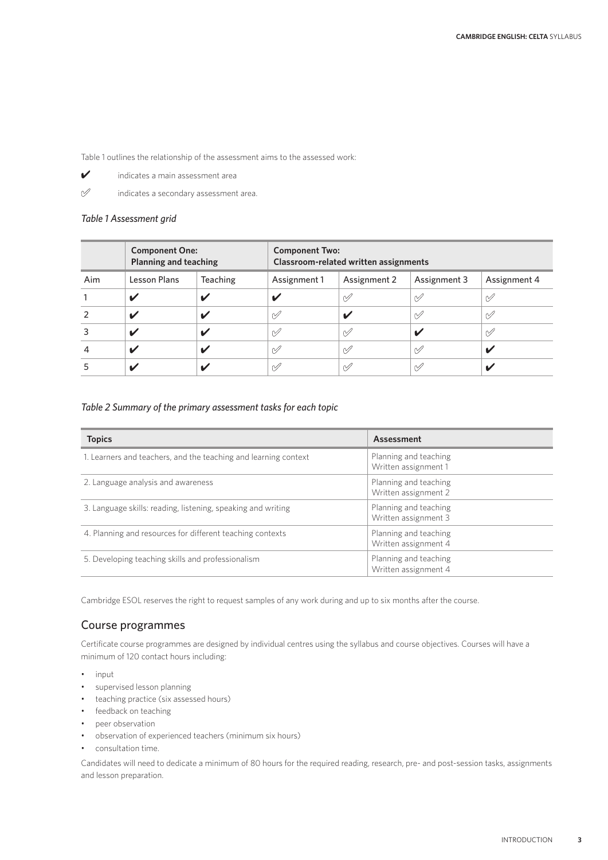Table 1 outlines the relationship of the assessment aims to the assessed work:

- ✔ indicates a main assessment area
- 

 $\mathscr{O}$  indicates a secondary assessment area.

#### *Table 1 Assessment grid*

|     | <b>Component One:</b><br><b>Planning and teaching</b> |          | <b>Component Two:</b><br>Classroom-related written assignments |               |               |              |
|-----|-------------------------------------------------------|----------|----------------------------------------------------------------|---------------|---------------|--------------|
| Aim | Lesson Plans                                          | Teaching | Assignment 1                                                   | Assignment 2  | Assignment 3  | Assignment 4 |
|     | V                                                     |          |                                                                | $\mathscr{A}$ | $\mathscr{A}$ | $\gamma$     |
|     | ✔                                                     |          | $\varphi$                                                      | ✔             | $\mathscr{A}$ | $\mathscr V$ |
| 3   | ✔                                                     |          | $\varphi$                                                      | $\mathscr{A}$ |               | $\mathcal V$ |
| 4   | ✔                                                     |          | $\mathscr{A}$                                                  | $\mathscr{A}$ | $\mathscr{A}$ |              |
|     |                                                       |          | $\mathscr{A}$                                                  | $\varnothing$ | $\mathscr{A}$ |              |

#### *Table 2 Summary of the primary assessment tasks for each topic*

| <b>Topics</b>                                                   | Assessment                                    |
|-----------------------------------------------------------------|-----------------------------------------------|
| 1. Learners and teachers, and the teaching and learning context | Planning and teaching<br>Written assignment 1 |
| 2. Language analysis and awareness                              | Planning and teaching<br>Written assignment 2 |
| 3. Language skills: reading, listening, speaking and writing    | Planning and teaching<br>Written assignment 3 |
| 4. Planning and resources for different teaching contexts       | Planning and teaching<br>Written assignment 4 |
| 5. Developing teaching skills and professionalism               | Planning and teaching<br>Written assignment 4 |

Cambridge ESOL reserves the right to request samples of any work during and up to six months after the course.

### Course programmes

Certificate course programmes are designed by individual centres using the syllabus and course objectives. Courses will have a minimum of 120 contact hours including:

- input
- supervised lesson planning
- teaching practice (six assessed hours)
- feedback on teaching
- peer observation
- observation of experienced teachers (minimum six hours)
- consultation time.

Candidates will need to dedicate a minimum of 80 hours for the required reading, research, pre- and post-session tasks, assignments and lesson preparation.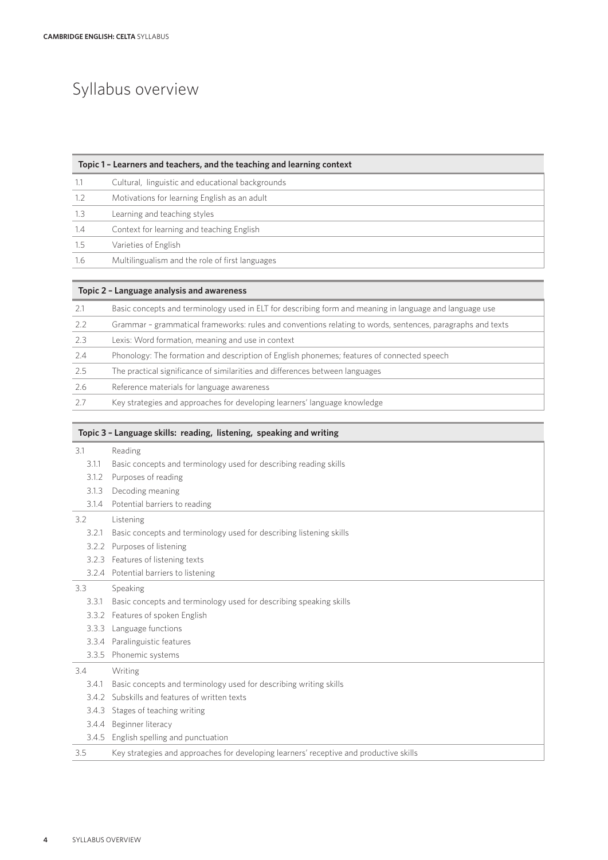## Syllabus overview

| Topic 1 - Learners and teachers, and the teaching and learning context |                                                  |  |  |
|------------------------------------------------------------------------|--------------------------------------------------|--|--|
|                                                                        | Cultural, linguistic and educational backgrounds |  |  |
| 1.2                                                                    | Motivations for learning English as an adult     |  |  |
| 1.3                                                                    | Learning and teaching styles                     |  |  |
| 1.4                                                                    | Context for learning and teaching English        |  |  |
| 1.5                                                                    | Varieties of English                             |  |  |
| 1.6                                                                    | Multilingualism and the role of first languages  |  |  |

| Topic 2 - Language analysis and awareness |                                                                                                            |  |  |
|-------------------------------------------|------------------------------------------------------------------------------------------------------------|--|--|
| 2.1                                       | Basic concepts and terminology used in ELT for describing form and meaning in language and language use    |  |  |
| 2.2                                       | Grammar - grammatical frameworks: rules and conventions relating to words, sentences, paragraphs and texts |  |  |
| 2.3                                       | Lexis: Word formation, meaning and use in context                                                          |  |  |
| 2.4                                       | Phonology: The formation and description of English phonemes; features of connected speech                 |  |  |
| 2.5                                       | The practical significance of similarities and differences between languages                               |  |  |
| 2.6                                       | Reference materials for language awareness                                                                 |  |  |
| 27                                        | Key strategies and approaches for developing learners' language knowledge                                  |  |  |

## **Topic 3 – Language skills: reading, listening, speaking and writing**

| 3.1   | Reading                                                                                |
|-------|----------------------------------------------------------------------------------------|
| 3.1.1 | Basic concepts and terminology used for describing reading skills                      |
| 3.1.2 | Purposes of reading                                                                    |
| 3.1.3 | Decoding meaning                                                                       |
| 3.1.4 | Potential barriers to reading                                                          |
| 3.2   | Listening                                                                              |
| 3.2.1 | Basic concepts and terminology used for describing listening skills                    |
| 3.2.2 | Purposes of listening                                                                  |
| 3.2.3 | Features of listening texts                                                            |
|       | 3.2.4 Potential barriers to listening                                                  |
| 3.3   | Speaking                                                                               |
| 3.3.1 | Basic concepts and terminology used for describing speaking skills                     |
| 3.3.2 | Features of spoken English                                                             |
| 3.3.3 | Language functions                                                                     |
| 3.3.4 | Paralinguistic features                                                                |
|       | 3.3.5 Phonemic systems                                                                 |
| 3.4   | Writing                                                                                |
| 3.4.1 | Basic concepts and terminology used for describing writing skills                      |
| 3.4.2 | Subskills and features of written texts                                                |
| 3.4.3 | Stages of teaching writing                                                             |
| 3.4.4 | Beginner literacy                                                                      |
| 3.4.5 | English spelling and punctuation                                                       |
| 3.5   | Key strategies and approaches for developing learners' receptive and productive skills |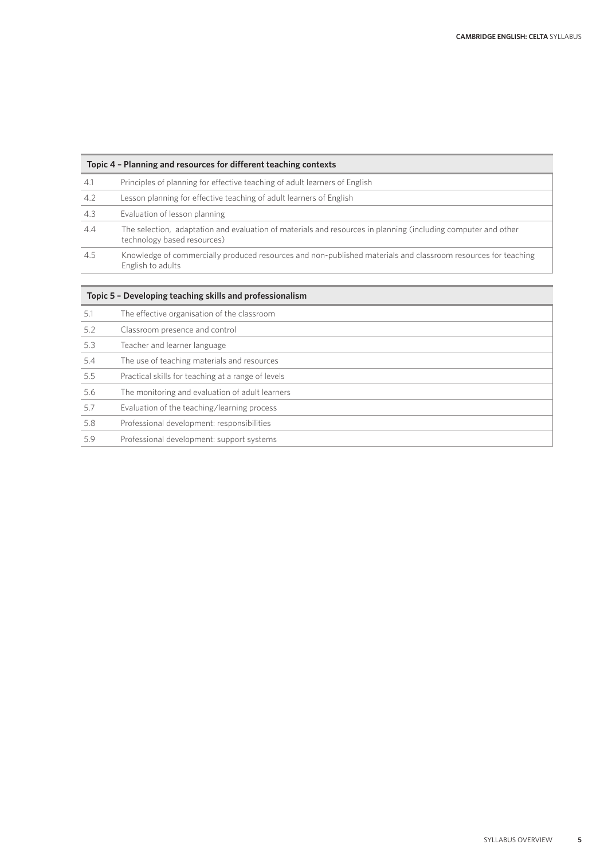| Topic 4 - Planning and resources for different teaching contexts |                                                                                                                                              |  |  |
|------------------------------------------------------------------|----------------------------------------------------------------------------------------------------------------------------------------------|--|--|
| 4.1                                                              | Principles of planning for effective teaching of adult learners of English                                                                   |  |  |
| 4.2                                                              | Lesson planning for effective teaching of adult learners of English                                                                          |  |  |
| 4.3                                                              | Evaluation of lesson planning                                                                                                                |  |  |
| 4.4                                                              | The selection, adaptation and evaluation of materials and resources in planning (including computer and other<br>technology based resources) |  |  |
| 4.5                                                              | Knowledge of commercially produced resources and non-published materials and classroom resources for teaching<br>English to adults           |  |  |

| Topic 5 - Developing teaching skills and professionalism |                                                    |  |  |  |
|----------------------------------------------------------|----------------------------------------------------|--|--|--|
| 5.1                                                      | The effective organisation of the classroom        |  |  |  |
| 5.2                                                      | Classroom presence and control                     |  |  |  |
| 5.3                                                      | Teacher and learner language                       |  |  |  |
| 5.4                                                      | The use of teaching materials and resources        |  |  |  |
| 5.5                                                      | Practical skills for teaching at a range of levels |  |  |  |
| 5.6                                                      | The monitoring and evaluation of adult learners    |  |  |  |
| 5.7                                                      | Evaluation of the teaching/learning process        |  |  |  |
| 5.8                                                      | Professional development: responsibilities         |  |  |  |
| 5.9                                                      | Professional development: support systems          |  |  |  |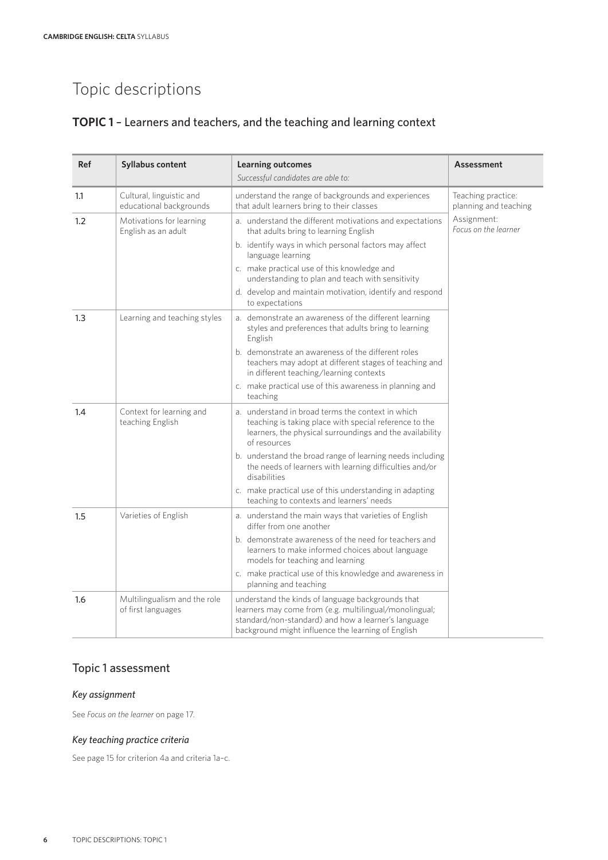## **TOPIC 1** – Learners and teachers, and the teaching and learning context

| Ref | <b>Syllabus content</b>                             | <b>Learning outcomes</b><br>Successful candidates are able to:                                                                                                                                                                                                                                                                                                                                                                         | <b>Assessment</b>                           |
|-----|-----------------------------------------------------|----------------------------------------------------------------------------------------------------------------------------------------------------------------------------------------------------------------------------------------------------------------------------------------------------------------------------------------------------------------------------------------------------------------------------------------|---------------------------------------------|
| 1.1 | Cultural, linguistic and<br>educational backgrounds | understand the range of backgrounds and experiences<br>that adult learners bring to their classes                                                                                                                                                                                                                                                                                                                                      | Teaching practice:<br>planning and teaching |
| 1.2 | Motivations for learning<br>English as an adult     | a. understand the different motivations and expectations<br>that adults bring to learning English<br>b. identify ways in which personal factors may affect<br>language learning<br>c. make practical use of this knowledge and<br>understanding to plan and teach with sensitivity<br>d. develop and maintain motivation, identify and respond<br>to expectations                                                                      | Assignment:<br>Focus on the learner         |
| 1.3 | Learning and teaching styles                        | a. demonstrate an awareness of the different learning<br>styles and preferences that adults bring to learning<br>English<br>b. demonstrate an awareness of the different roles<br>teachers may adopt at different stages of teaching and<br>in different teaching/learning contexts<br>c. make practical use of this awareness in planning and<br>teaching                                                                             |                                             |
| 1.4 | Context for learning and<br>teaching English        | a. understand in broad terms the context in which<br>teaching is taking place with special reference to the<br>learners, the physical surroundings and the availability<br>of resources<br>b. understand the broad range of learning needs including<br>the needs of learners with learning difficulties and/or<br>disabilities<br>c. make practical use of this understanding in adapting<br>teaching to contexts and learners' needs |                                             |
| 1.5 | Varieties of English                                | a. understand the main ways that varieties of English<br>differ from one another<br>b. demonstrate awareness of the need for teachers and<br>learners to make informed choices about language<br>models for teaching and learning<br>c. make practical use of this knowledge and awareness in<br>planning and teaching                                                                                                                 |                                             |
| 1.6 | Multilingualism and the role<br>of first languages  | understand the kinds of language backgrounds that<br>learners may come from (e.g. multilingual/monolingual;<br>standard/non-standard) and how a learner's language<br>background might influence the learning of English                                                                                                                                                                                                               |                                             |

## Topic 1 assessment

### *Key assignment*

See *Focus on the learner* on page 17.

### *Key teaching practice criteria*

See page 15 for criterion 4a and criteria 1a–c.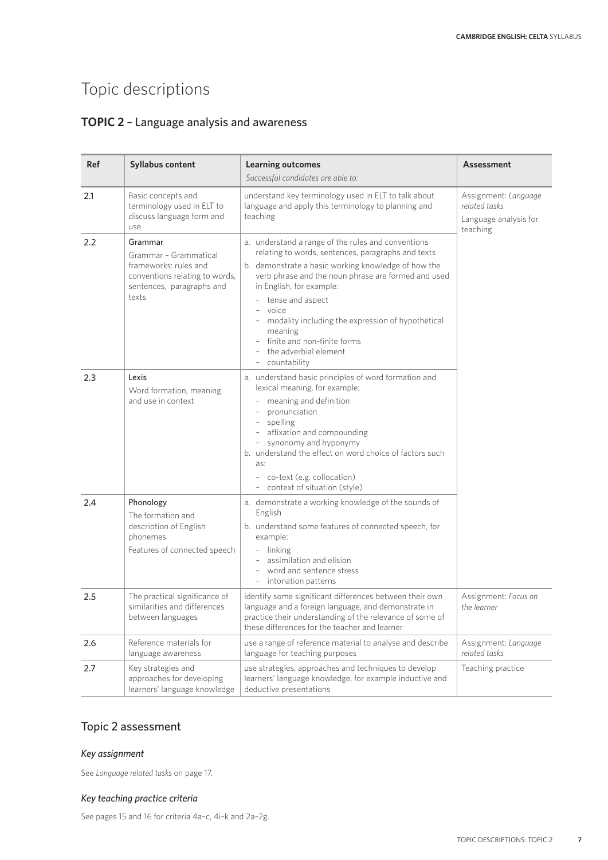## **TOPIC 2** – Language analysis and awareness

| <b>Ref</b> | Syllabus content                                                                                                                  | <b>Learning outcomes</b><br>Successful candidates are able to:                                                                                                                                                                                                                                                                                                                                                          | Assessment                                                                 |
|------------|-----------------------------------------------------------------------------------------------------------------------------------|-------------------------------------------------------------------------------------------------------------------------------------------------------------------------------------------------------------------------------------------------------------------------------------------------------------------------------------------------------------------------------------------------------------------------|----------------------------------------------------------------------------|
| 2.1        | Basic concepts and<br>terminology used in ELT to<br>discuss language form and<br>use                                              | understand key terminology used in ELT to talk about<br>language and apply this terminology to planning and<br>teaching                                                                                                                                                                                                                                                                                                 | Assignment: Language<br>related tasks<br>Language analysis for<br>teaching |
| 2.2        | Grammar<br>Grammar - Grammatical<br>frameworks: rules and<br>conventions relating to words,<br>sentences, paragraphs and<br>texts | a. understand a range of the rules and conventions<br>relating to words, sentences, paragraphs and texts<br>b. demonstrate a basic working knowledge of how the<br>verb phrase and the noun phrase are formed and used<br>in English, for example:<br>tense and aspect<br>voice<br>modality including the expression of hypothetical<br>meaning<br>finite and non-finite forms<br>the adverbial element<br>countability |                                                                            |
| 2.3        | Lexis<br>Word formation, meaning<br>and use in context                                                                            | a. understand basic principles of word formation and<br>lexical meaning, for example:<br>meaning and definition<br>pronunciation<br>spelling<br>affixation and compounding<br>synonomy and hyponymy<br>b. understand the effect on word choice of factors such<br>as:<br>- co-text (e.g. collocation)<br>- context of situation (style)                                                                                 |                                                                            |
| 2.4        | Phonology<br>The formation and<br>description of English<br>phonemes<br>Features of connected speech                              | a. demonstrate a working knowledge of the sounds of<br>English<br>b. understand some features of connected speech, for<br>example:<br>- linking<br>assimilation and elision<br>word and sentence stress<br>intonation patterns                                                                                                                                                                                          |                                                                            |
| 2.5        | The practical significance of<br>similarities and differences<br>between languages                                                | identify some significant differences between their own<br>language and a foreign language, and demonstrate in<br>practice their understanding of the relevance of some of<br>these differences for the teacher and learner                                                                                                                                                                                             | Assignment: Focus on<br>the learner                                        |
| 2.6        | Reference materials for<br>language awareness                                                                                     | use a range of reference material to analyse and describe<br>language for teaching purposes                                                                                                                                                                                                                                                                                                                             | Assignment: Language<br>related tasks                                      |
| 2.7        | Key strategies and<br>approaches for developing<br>learners' language knowledge                                                   | use strategies, approaches and techniques to develop<br>learners' language knowledge, for example inductive and<br>deductive presentations                                                                                                                                                                                                                                                                              | Teaching practice                                                          |

## Topic 2 assessment

#### *Key assignment*

See *Language related tasks* on page 17.

#### *Key teaching practice criteria*

See pages 15 and 16 for criteria 4a–c, 4i–k and 2a–2g.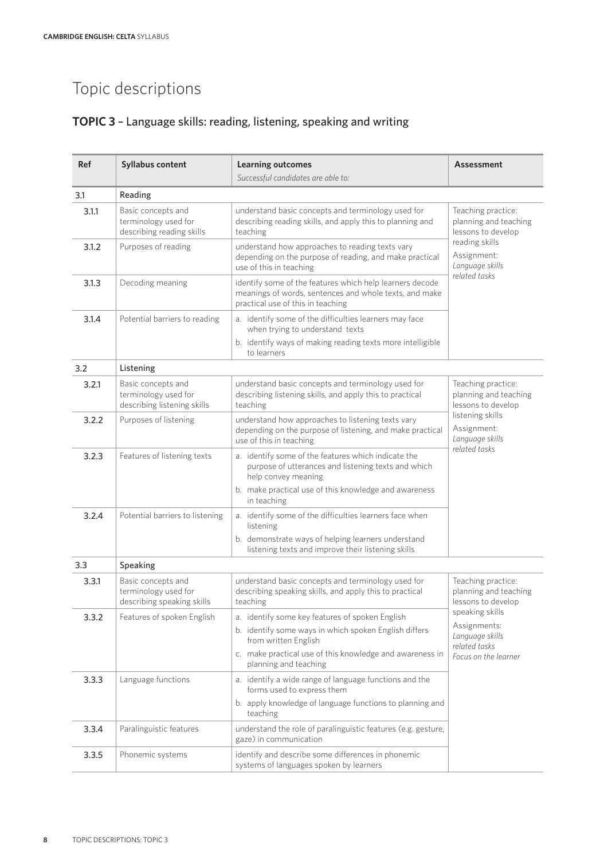## **TOPIC 3** – Language skills: reading, listening, speaking and writing

| <b>Ref</b> | <b>Syllabus content</b>                                                   | <b>Learning outcomes</b>                                                                                                                                               | <b>Assessment</b>                                                                                                                        |  |  |  |
|------------|---------------------------------------------------------------------------|------------------------------------------------------------------------------------------------------------------------------------------------------------------------|------------------------------------------------------------------------------------------------------------------------------------------|--|--|--|
|            |                                                                           | Successful candidates are able to:                                                                                                                                     |                                                                                                                                          |  |  |  |
| 3.1        | Reading                                                                   |                                                                                                                                                                        |                                                                                                                                          |  |  |  |
| 3.1.1      | Basic concepts and<br>terminology used for<br>describing reading skills   | understand basic concepts and terminology used for<br>describing reading skills, and apply this to planning and<br>teaching                                            | Teaching practice:<br>planning and teaching<br>lessons to develop<br>reading skills<br>Assignment:<br>Language skills<br>related tasks   |  |  |  |
| 3.1.2      | Purposes of reading                                                       | understand how approaches to reading texts vary<br>depending on the purpose of reading, and make practical<br>use of this in teaching                                  |                                                                                                                                          |  |  |  |
| 3.1.3      | Decoding meaning                                                          | identify some of the features which help learners decode<br>meanings of words, sentences and whole texts, and make<br>practical use of this in teaching                |                                                                                                                                          |  |  |  |
| 3.1.4      | Potential barriers to reading                                             | a. identify some of the difficulties learners may face<br>when trying to understand texts<br>b. identify ways of making reading texts more intelligible<br>to learners |                                                                                                                                          |  |  |  |
| 3.2        | Listening                                                                 |                                                                                                                                                                        |                                                                                                                                          |  |  |  |
| 3.2.1      | Basic concepts and<br>terminology used for<br>describing listening skills | understand basic concepts and terminology used for<br>describing listening skills, and apply this to practical<br>teaching                                             | Teaching practice:<br>planning and teaching<br>lessons to develop<br>listening skills<br>Assignment:<br>Language skills<br>related tasks |  |  |  |
| 3.2.2      | Purposes of listening                                                     | understand how approaches to listening texts vary<br>depending on the purpose of listening, and make practical<br>use of this in teaching                              |                                                                                                                                          |  |  |  |
| 3.2.3      | Features of listening texts                                               | a. identify some of the features which indicate the<br>purpose of utterances and listening texts and which<br>help convey meaning                                      |                                                                                                                                          |  |  |  |
|            |                                                                           | b. make practical use of this knowledge and awareness<br>in teaching                                                                                                   |                                                                                                                                          |  |  |  |
| 3.2.4      | Potential barriers to listening                                           | a. identify some of the difficulties learners face when<br>listening                                                                                                   |                                                                                                                                          |  |  |  |
|            |                                                                           | b. demonstrate ways of helping learners understand<br>listening texts and improve their listening skills                                                               |                                                                                                                                          |  |  |  |
| 3.3        | Speaking                                                                  |                                                                                                                                                                        |                                                                                                                                          |  |  |  |
| 3.3.1      | Basic concepts and<br>terminology used for<br>describing speaking skills  | understand basic concepts and terminology used for<br>describing speaking skills, and apply this to practical<br>teaching                                              | Teaching practice:<br>planning and teaching<br>lessons to develop                                                                        |  |  |  |
| 3.3.2      | Features of spoken English                                                | a. identify some key features of spoken English                                                                                                                        | speaking skills                                                                                                                          |  |  |  |
|            |                                                                           | b. identify some ways in which spoken English differs<br>from written English                                                                                          | Assignments:<br>Language skills<br>related tasks<br>Focus on the learner                                                                 |  |  |  |
|            |                                                                           | c. make practical use of this knowledge and awareness in<br>planning and teaching                                                                                      |                                                                                                                                          |  |  |  |
| 3.3.3      | Language functions                                                        | a. identify a wide range of language functions and the<br>forms used to express them                                                                                   |                                                                                                                                          |  |  |  |
|            |                                                                           | b. apply knowledge of language functions to planning and<br>teaching                                                                                                   |                                                                                                                                          |  |  |  |
| 3.3.4      | Paralinguistic features                                                   | understand the role of paralinguistic features (e.g. gesture,<br>gaze) in communication                                                                                |                                                                                                                                          |  |  |  |
| 3.3.5      | Phonemic systems                                                          | identify and describe some differences in phonemic<br>systems of languages spoken by learners                                                                          |                                                                                                                                          |  |  |  |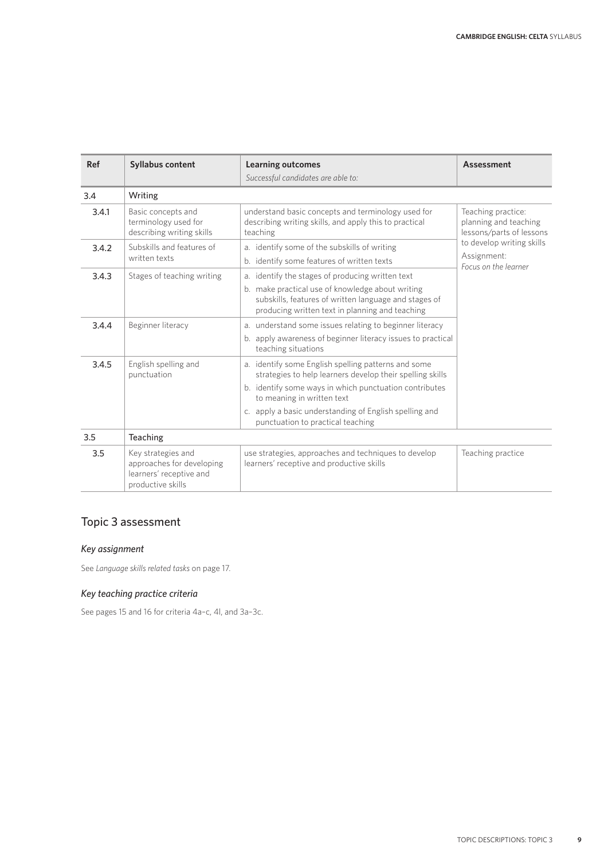| <b>Ref</b> | <b>Syllabus content</b>                                                                         | <b>Learning outcomes</b>                                                                                                                                                                                                                                                                                | Assessment                                                                                                                                  |
|------------|-------------------------------------------------------------------------------------------------|---------------------------------------------------------------------------------------------------------------------------------------------------------------------------------------------------------------------------------------------------------------------------------------------------------|---------------------------------------------------------------------------------------------------------------------------------------------|
|            |                                                                                                 | Successful candidates are able to:                                                                                                                                                                                                                                                                      |                                                                                                                                             |
| 3.4        | Writing                                                                                         |                                                                                                                                                                                                                                                                                                         |                                                                                                                                             |
| 3.4.1      | Basic concepts and<br>terminology used for<br>describing writing skills                         | understand basic concepts and terminology used for<br>describing writing skills, and apply this to practical<br>teaching                                                                                                                                                                                | Teaching practice:<br>planning and teaching<br>lessons/parts of lessons<br>to develop writing skills<br>Assignment:<br>Focus on the learner |
| 3.4.2      | Subskills and features of<br>written texts                                                      | a. identify some of the subskills of writing<br>b. identify some features of written texts                                                                                                                                                                                                              |                                                                                                                                             |
| 3.4.3      | Stages of teaching writing                                                                      | a. identify the stages of producing written text<br>b. make practical use of knowledge about writing<br>subskills, features of written language and stages of<br>producing written text in planning and teaching                                                                                        |                                                                                                                                             |
| 3.4.4      | Beginner literacy                                                                               | a. understand some issues relating to beginner literacy<br>b. apply awareness of beginner literacy issues to practical<br>teaching situations                                                                                                                                                           |                                                                                                                                             |
| 3.4.5      | English spelling and<br>punctuation                                                             | a. identify some English spelling patterns and some<br>strategies to help learners develop their spelling skills<br>b. identify some ways in which punctuation contributes<br>to meaning in written text<br>c. apply a basic understanding of English spelling and<br>punctuation to practical teaching |                                                                                                                                             |
| 3.5        | Teaching                                                                                        |                                                                                                                                                                                                                                                                                                         |                                                                                                                                             |
| 3.5        | Key strategies and<br>approaches for developing<br>learners' receptive and<br>productive skills | use strategies, approaches and techniques to develop<br>learners' receptive and productive skills                                                                                                                                                                                                       | Teaching practice                                                                                                                           |

## Topic 3 assessment

#### *Key assignment*

See *Language skills related tasks* on page 17.

### *Key teaching practice criteria*

See pages 15 and 16 for criteria 4a–c, 4l, and 3a–3c.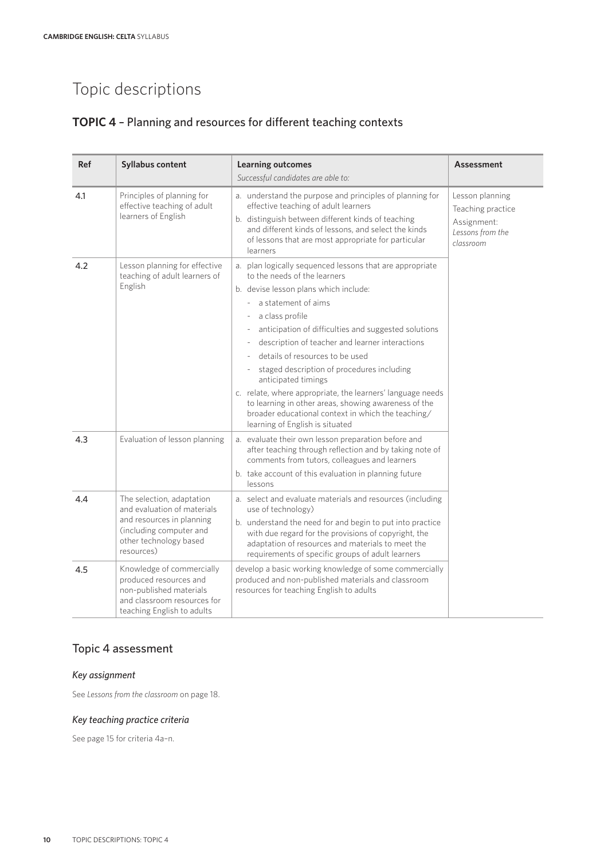## **TOPIC 4** – Planning and resources for different teaching contexts

| <b>Ref</b> | <b>Syllabus content</b>                                                                                                                                  | <b>Learning outcomes</b><br>Successful candidates are able to:                                                                                                                                                                                                                                                                                                                                                                                                                                                                                                                                                | <b>Assessment</b>                                                                    |
|------------|----------------------------------------------------------------------------------------------------------------------------------------------------------|---------------------------------------------------------------------------------------------------------------------------------------------------------------------------------------------------------------------------------------------------------------------------------------------------------------------------------------------------------------------------------------------------------------------------------------------------------------------------------------------------------------------------------------------------------------------------------------------------------------|--------------------------------------------------------------------------------------|
| 4.1        | Principles of planning for<br>effective teaching of adult<br>learners of English                                                                         | a. understand the purpose and principles of planning for<br>effective teaching of adult learners<br>b. distinguish between different kinds of teaching<br>and different kinds of lessons, and select the kinds<br>of lessons that are most appropriate for particular<br>learners                                                                                                                                                                                                                                                                                                                             | Lesson planning<br>Teaching practice<br>Assignment:<br>Lessons from the<br>classroom |
| 4.2        | Lesson planning for effective<br>teaching of adult learners of<br>English                                                                                | a. plan logically sequenced lessons that are appropriate<br>to the needs of the learners<br>b. devise lesson plans which include:<br>a statement of aims<br>a class profile<br>anticipation of difficulties and suggested solutions<br>description of teacher and learner interactions<br>details of resources to be used<br>staged description of procedures including<br>anticipated timings<br>c. relate, where appropriate, the learners' language needs<br>to learning in other areas, showing awareness of the<br>broader educational context in which the teaching/<br>learning of English is situated |                                                                                      |
| 4.3        | Evaluation of lesson planning                                                                                                                            | a. evaluate their own lesson preparation before and<br>after teaching through reflection and by taking note of<br>comments from tutors, colleagues and learners<br>b. take account of this evaluation in planning future<br>lessons                                                                                                                                                                                                                                                                                                                                                                           |                                                                                      |
| 4.4        | The selection, adaptation<br>and evaluation of materials<br>and resources in planning<br>(including computer and<br>other technology based<br>resources) | a. select and evaluate materials and resources (including<br>use of technology)<br>b. understand the need for and begin to put into practice<br>with due regard for the provisions of copyright, the<br>adaptation of resources and materials to meet the<br>requirements of specific groups of adult learners                                                                                                                                                                                                                                                                                                |                                                                                      |
| 4.5        | Knowledge of commercially<br>produced resources and<br>non-published materials<br>and classroom resources for<br>teaching English to adults              | develop a basic working knowledge of some commercially<br>produced and non-published materials and classroom<br>resources for teaching English to adults                                                                                                                                                                                                                                                                                                                                                                                                                                                      |                                                                                      |

## Topic 4 assessment

#### *Key assignment*

See *Lessons from the classroom* on page 18.

#### *Key teaching practice criteria*

See page 15 for criteria 4a–n.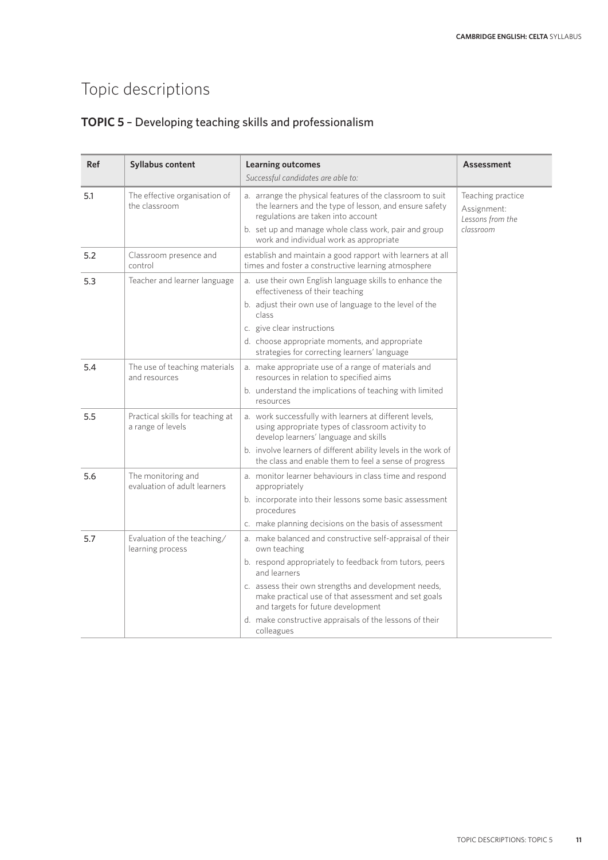## **TOPIC 5** – Developing teaching skills and professionalism

| <b>Ref</b> | Syllabus content                                      | <b>Learning outcomes</b><br>Successful candidates are able to:                                                                                                                                                                                                                                                                                                                     | Assessment                                                        |
|------------|-------------------------------------------------------|------------------------------------------------------------------------------------------------------------------------------------------------------------------------------------------------------------------------------------------------------------------------------------------------------------------------------------------------------------------------------------|-------------------------------------------------------------------|
| 5.1        | The effective organisation of<br>the classroom        | a. arrange the physical features of the classroom to suit<br>the learners and the type of lesson, and ensure safety<br>regulations are taken into account<br>b. set up and manage whole class work, pair and group<br>work and individual work as appropriate                                                                                                                      | Teaching practice<br>Assignment:<br>Lessons from the<br>classroom |
| 5.2        | Classroom presence and<br>control                     | establish and maintain a good rapport with learners at all<br>times and foster a constructive learning atmosphere                                                                                                                                                                                                                                                                  |                                                                   |
| 5.3        | Teacher and learner language                          | a. use their own English language skills to enhance the<br>effectiveness of their teaching<br>b. adjust their own use of language to the level of the<br>class<br>c. give clear instructions<br>d. choose appropriate moments, and appropriate<br>strategies for correcting learners' language                                                                                     |                                                                   |
| 5.4        | The use of teaching materials<br>and resources        | a. make appropriate use of a range of materials and<br>resources in relation to specified aims<br>b. understand the implications of teaching with limited<br>resources                                                                                                                                                                                                             |                                                                   |
| 5.5        | Practical skills for teaching at<br>a range of levels | a. work successfully with learners at different levels,<br>using appropriate types of classroom activity to<br>develop learners' language and skills<br>b. involve learners of different ability levels in the work of<br>the class and enable them to feel a sense of progress                                                                                                    |                                                                   |
| 5.6        | The monitoring and<br>evaluation of adult learners    | a. monitor learner behaviours in class time and respond<br>appropriately<br>b. incorporate into their lessons some basic assessment<br>procedures<br>c. make planning decisions on the basis of assessment                                                                                                                                                                         |                                                                   |
| 5.7        | Evaluation of the teaching/<br>learning process       | a. make balanced and constructive self-appraisal of their<br>own teaching<br>b. respond appropriately to feedback from tutors, peers<br>and learners<br>c. assess their own strengths and development needs,<br>make practical use of that assessment and set goals<br>and targets for future development<br>d. make constructive appraisals of the lessons of their<br>colleagues |                                                                   |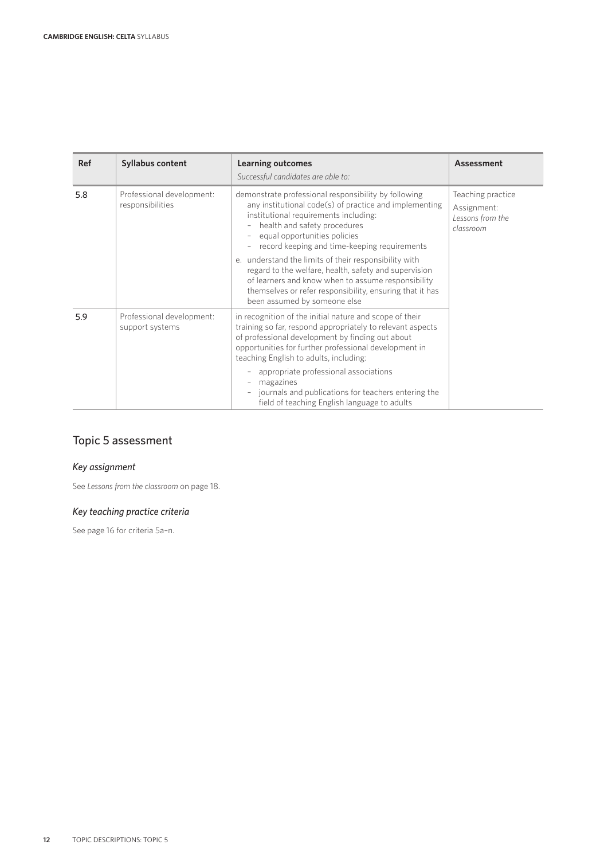| <b>Ref</b> | <b>Syllabus content</b>                       | <b>Learning outcomes</b><br>Successful candidates are able to:                                                                                                                                                                                                               | Assessment                                                        |
|------------|-----------------------------------------------|------------------------------------------------------------------------------------------------------------------------------------------------------------------------------------------------------------------------------------------------------------------------------|-------------------------------------------------------------------|
| 5.8        | Professional development:<br>responsibilities | demonstrate professional responsibility by following<br>any institutional code(s) of practice and implementing<br>institutional requirements including:<br>health and safety procedures<br>equal opportunities policies<br>record keeping and time-keeping requirements      | Teaching practice<br>Assignment:<br>Lessons from the<br>classroom |
|            |                                               | e. understand the limits of their responsibility with<br>regard to the welfare, health, safety and supervision<br>of learners and know when to assume responsibility<br>themselves or refer responsibility, ensuring that it has<br>been assumed by someone else             |                                                                   |
| 5.9        | Professional development:<br>support systems  | in recognition of the initial nature and scope of their<br>training so far, respond appropriately to relevant aspects<br>of professional development by finding out about<br>opportunities for further professional development in<br>teaching English to adults, including: |                                                                   |
|            |                                               | appropriate professional associations<br>magazines<br>journals and publications for teachers entering the<br>field of teaching English language to adults                                                                                                                    |                                                                   |

## Topic 5 assessment

## *Key assignment*

See *Lessons from the classroom* on page 18.

### *Key teaching practice criteria*

See page 16 for criteria 5a–n.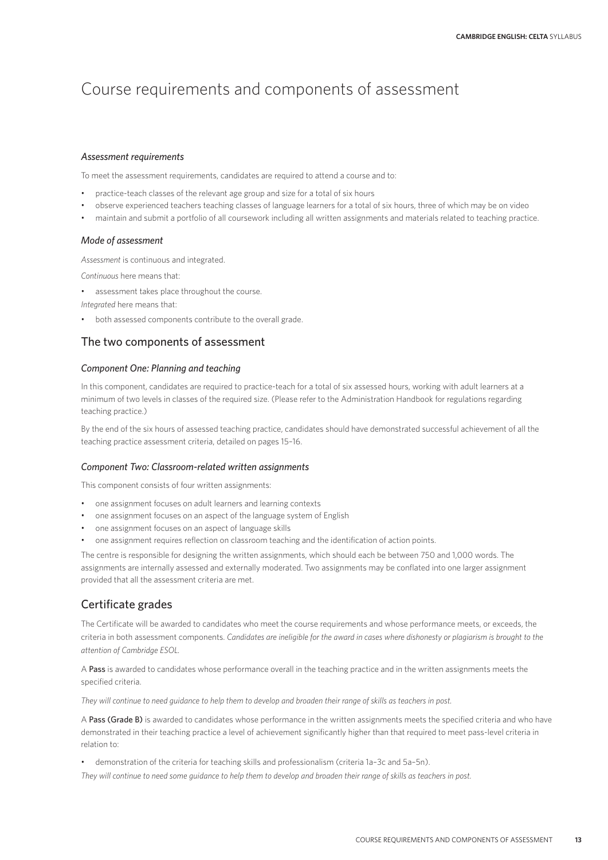## Course requirements and components of assessment

#### *Assessment requirements*

To meet the assessment requirements, candidates are required to attend a course and to:

- practice-teach classes of the relevant age group and size for a total of six hours
- observe experienced teachers teaching classes of language learners for a total of six hours, three of which may be on video
- maintain and submit a portfolio of all coursework including all written assignments and materials related to teaching practice.

#### *Mode of assessment*

*Assessment* is continuous and integrated.

*Continuous* here means that:

- assessment takes place throughout the course.
- *Integrated* here means that:
- both assessed components contribute to the overall grade.

#### The two components of assessment

#### *Component One: Planning and teaching*

In this component, candidates are required to practice-teach for a total of six assessed hours, working with adult learners at a minimum of two levels in classes of the required size. (Please refer to the Administration Handbook for regulations regarding teaching practice.)

By the end of the six hours of assessed teaching practice, candidates should have demonstrated successful achievement of all the teaching practice assessment criteria, detailed on pages 15–16.

#### *Component Two: Classroom-related written assignments*

This component consists of four written assignments:

- one assignment focuses on adult learners and learning contexts
- one assignment focuses on an aspect of the language system of English
- one assignment focuses on an aspect of language skills
- one assignment requires reflection on classroom teaching and the identification of action points.

The centre is responsible for designing the written assignments, which should each be between 750 and 1,000 words. The assignments are internally assessed and externally moderated. Two assignments may be conflated into one larger assignment provided that all the assessment criteria are met.

### Certificate grades

The Certificate will be awarded to candidates who meet the course requirements and whose performance meets, or exceeds, the criteria in both assessment components. *Candidates are ineligible for the award in cases where dishonesty or plagiarism is brought to the attention of Cambridge ESOL.*

A Pass is awarded to candidates whose performance overall in the teaching practice and in the written assignments meets the specified criteria.

*They will continue to need guidance to help them to develop and broaden their range of skills as teachers in post.*

A Pass (Grade B) is awarded to candidates whose performance in the written assignments meets the specified criteria and who have demonstrated in their teaching practice a level of achievement significantly higher than that required to meet pass-level criteria in relation to:

• demonstration of the criteria for teaching skills and professionalism (criteria 1a–3c and 5a–5n).

*They will continue to need some guidance to help them to develop and broaden their range of skills as teachers in post.*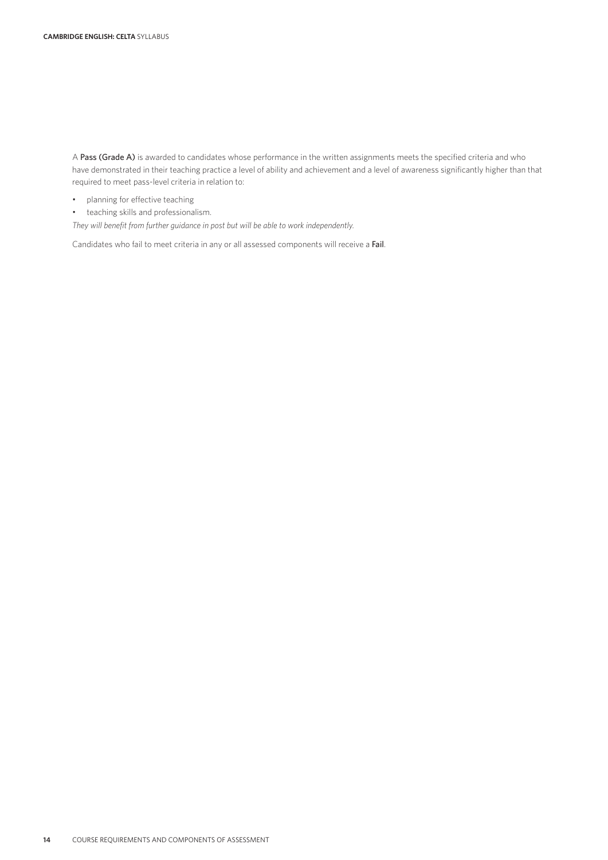A Pass (Grade A) is awarded to candidates whose performance in the written assignments meets the specified criteria and who have demonstrated in their teaching practice a level of ability and achievement and a level of awareness significantly higher than that required to meet pass-level criteria in relation to:

- planning for effective teaching
- teaching skills and professionalism.

*They will benefit from further guidance in post but will be able to work independently.*

Candidates who fail to meet criteria in any or all assessed components will receive a Fail.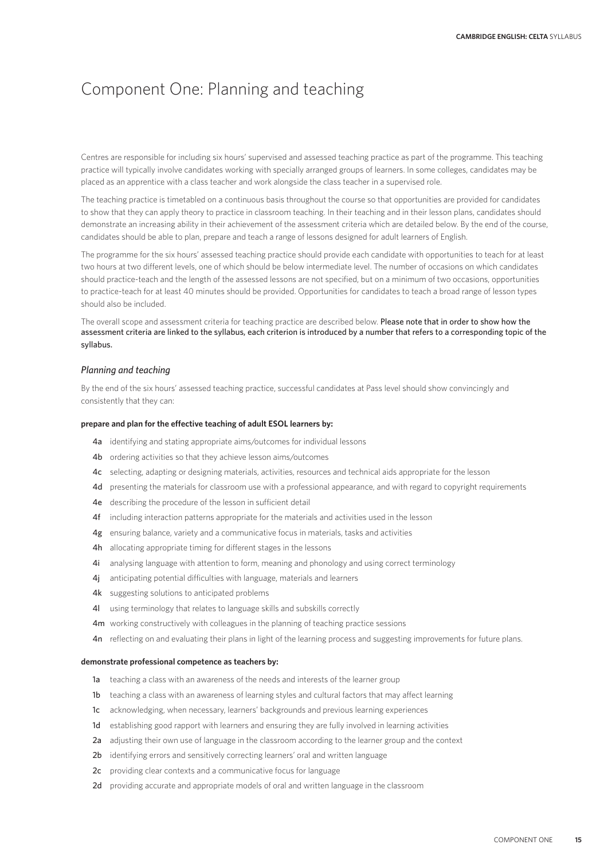## Component One: Planning and teaching

Centres are responsible for including six hours' supervised and assessed teaching practice as part of the programme. This teaching practice will typically involve candidates working with specially arranged groups of learners. In some colleges, candidates may be placed as an apprentice with a class teacher and work alongside the class teacher in a supervised role.

The teaching practice is timetabled on a continuous basis throughout the course so that opportunities are provided for candidates to show that they can apply theory to practice in classroom teaching. In their teaching and in their lesson plans, candidates should demonstrate an increasing ability in their achievement of the assessment criteria which are detailed below. By the end of the course, candidates should be able to plan, prepare and teach a range of lessons designed for adult learners of English.

The programme for the six hours' assessed teaching practice should provide each candidate with opportunities to teach for at least two hours at two different levels, one of which should be below intermediate level. The number of occasions on which candidates should practice-teach and the length of the assessed lessons are not specified, but on a minimum of two occasions, opportunities to practice-teach for at least 40 minutes should be provided. Opportunities for candidates to teach a broad range of lesson types should also be included.

The overall scope and assessment criteria for teaching practice are described below. Please note that in order to show how the assessment criteria are linked to the syllabus, each criterion is introduced by a number that refers to a corresponding topic of the syllabus.

#### *Planning and teaching*

By the end of the six hours' assessed teaching practice, successful candidates at Pass level should show convincingly and consistently that they can:

#### **prepare and plan for the effective teaching of adult ESOL learners by:**

- 4a identifying and stating appropriate aims/outcomes for individual lessons
- 4b ordering activities so that they achieve lesson aims/outcomes
- 4c selecting, adapting or designing materials, activities, resources and technical aids appropriate for the lesson
- 4d presenting the materials for classroom use with a professional appearance, and with regard to copyright requirements
- 4e describing the procedure of the lesson in sufficient detail
- 4f including interaction patterns appropriate for the materials and activities used in the lesson
- 4g ensuring balance, variety and a communicative focus in materials, tasks and activities
- 4h allocating appropriate timing for different stages in the lessons
- 4i analysing language with attention to form, meaning and phonology and using correct terminology
- 4j anticipating potential difficulties with language, materials and learners
- 4k suggesting solutions to anticipated problems
- 4l using terminology that relates to language skills and subskills correctly
- 4m working constructively with colleagues in the planning of teaching practice sessions
- 4n reflecting on and evaluating their plans in light of the learning process and suggesting improvements for future plans.

#### **demonstrate professional competence as teachers by:**

- 1a teaching a class with an awareness of the needs and interests of the learner group
- 1b teaching a class with an awareness of learning styles and cultural factors that may affect learning
- 1c acknowledging, when necessary, learners' backgrounds and previous learning experiences
- 1d establishing good rapport with learners and ensuring they are fully involved in learning activities
- 2a adjusting their own use of language in the classroom according to the learner group and the context
- 2b identifying errors and sensitively correcting learners' oral and written language
- 2c providing clear contexts and a communicative focus for language
- 2d providing accurate and appropriate models of oral and written language in the classroom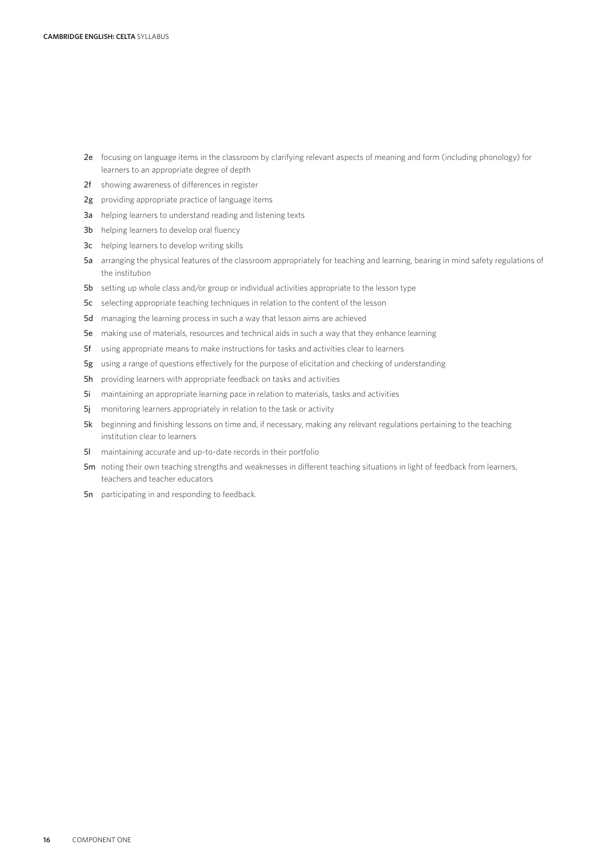- 2e focusing on language items in the classroom by clarifying relevant aspects of meaning and form (including phonology) for learners to an appropriate degree of depth
- 2f showing awareness of differences in register
- 2g providing appropriate practice of language items
- 3a helping learners to understand reading and listening texts
- 3b helping learners to develop oral fluency
- 3c helping learners to develop writing skills
- 5a arranging the physical features of the classroom appropriately for teaching and learning, bearing in mind safety regulations of the institution
- 5b setting up whole class and/or group or individual activities appropriate to the lesson type
- 5c selecting appropriate teaching techniques in relation to the content of the lesson
- 5d managing the learning process in such a way that lesson aims are achieved
- 5e making use of materials, resources and technical aids in such a way that they enhance learning
- 5f using appropriate means to make instructions for tasks and activities clear to learners
- 5g using a range of questions effectively for the purpose of elicitation and checking of understanding
- 5h providing learners with appropriate feedback on tasks and activities
- 5i maintaining an appropriate learning pace in relation to materials, tasks and activities
- 5j monitoring learners appropriately in relation to the task or activity
- 5k beginning and finishing lessons on time and, if necessary, making any relevant regulations pertaining to the teaching institution clear to learners
- 5l maintaining accurate and up-to-date records in their portfolio
- 5m noting their own teaching strengths and weaknesses in different teaching situations in light of feedback from learners, teachers and teacher educators
- 5n participating in and responding to feedback.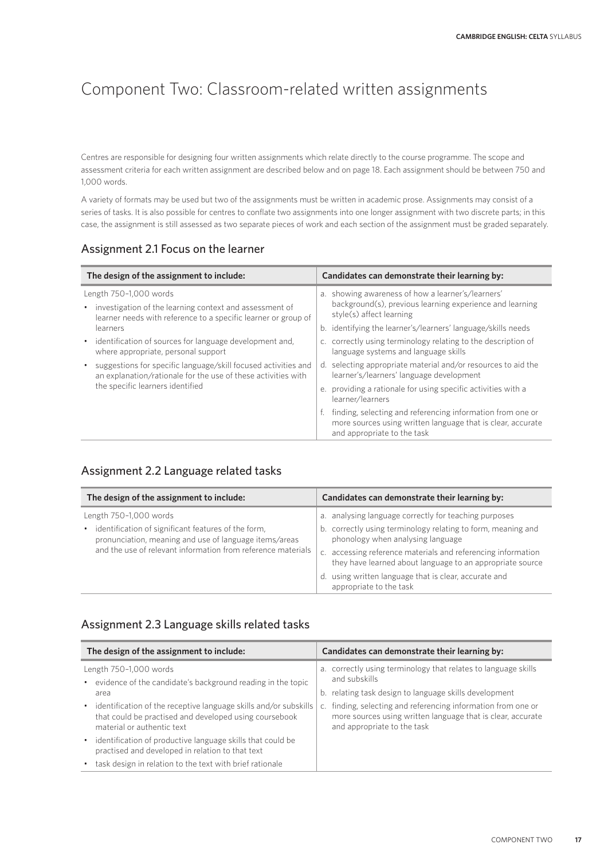## Component Two: Classroom-related written assignments

Centres are responsible for designing four written assignments which relate directly to the course programme. The scope and assessment criteria for each written assignment are described below and on page 18. Each assignment should be between 750 and 1,000 words.

A variety of formats may be used but two of the assignments must be written in academic prose. Assignments may consist of a series of tasks. It is also possible for centres to conflate two assignments into one longer assignment with two discrete parts; in this case, the assignment is still assessed as two separate pieces of work and each section of the assignment must be graded separately.

## Assignment 2.1 Focus on the learner

| Candidates can demonstrate their learning by:                                                                                                                                                                                                                                                                                          |  |
|----------------------------------------------------------------------------------------------------------------------------------------------------------------------------------------------------------------------------------------------------------------------------------------------------------------------------------------|--|
| a. showing awareness of how a learner's/learners'<br>background(s), previous learning experience and learning<br>style(s) affect learning<br>b. identifying the learner's/learners' language/skills needs<br>c. correctly using terminology relating to the description of<br>language systems and language skills                     |  |
| d. selecting appropriate material and/or resources to aid the<br>learner's/learners' language development<br>e. providing a rationale for using specific activities with a<br>finding, selecting and referencing information from one or<br>more sources using written language that is clear, accurate<br>and appropriate to the task |  |
|                                                                                                                                                                                                                                                                                                                                        |  |

## Assignment 2.2 Language related tasks

| The design of the assignment to include:                                                                                                                                                                | Candidates can demonstrate their learning by:                                                                                                                                                                                                                                                                                                                               |
|---------------------------------------------------------------------------------------------------------------------------------------------------------------------------------------------------------|-----------------------------------------------------------------------------------------------------------------------------------------------------------------------------------------------------------------------------------------------------------------------------------------------------------------------------------------------------------------------------|
| Length 750-1,000 words<br>identification of significant features of the form,<br>pronunciation, meaning and use of language items/areas<br>and the use of relevant information from reference materials | a. analysing language correctly for teaching purposes<br>b. correctly using terminology relating to form, meaning and<br>phonology when analysing language<br>c. accessing reference materials and referencing information<br>they have learned about language to an appropriate source<br>d. using written language that is clear, accurate and<br>appropriate to the task |

### Assignment 2.3 Language skills related tasks

| The design of the assignment to include:                                                                                                                   | Candidates can demonstrate their learning by:                                                                                                                  |
|------------------------------------------------------------------------------------------------------------------------------------------------------------|----------------------------------------------------------------------------------------------------------------------------------------------------------------|
| Length 750-1,000 words<br>• evidence of the candidate's background reading in the topic<br>area                                                            | a. correctly using terminology that relates to language skills<br>and subskills<br>b. relating task design to language skills development                      |
| • identification of the receptive language skills and/or subskills<br>that could be practised and developed using coursebook<br>material or authentic text | finding, selecting and referencing information from one or<br>C.<br>more sources using written language that is clear, accurate<br>and appropriate to the task |
| • identification of productive language skills that could be<br>practised and developed in relation to that text                                           |                                                                                                                                                                |
| • task design in relation to the text with brief rationale                                                                                                 |                                                                                                                                                                |